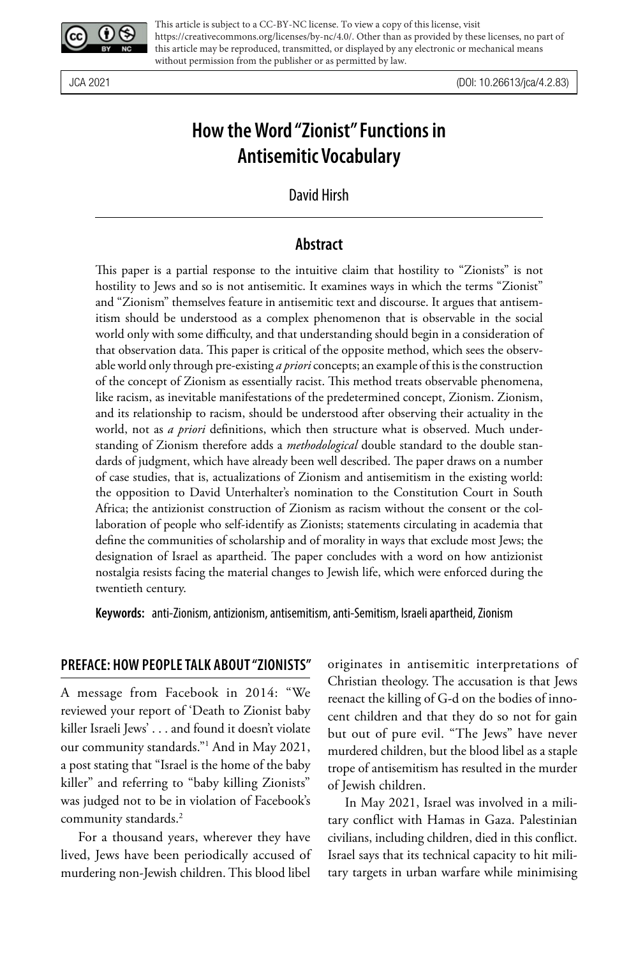

This article is subject to a CC-BY-NC license. To view a copy of this license, visit https://creativecommons.org/licenses/by-nc/4.0/. Other than as provided by these licenses, no part of this article may be reproduced, transmitted, or displayed by any electronic or mechanical means without permission from the publisher or as permitted by law.

JCA 2021 (DOI: 10.26613/jca/4.2.83)

# **How the Word "Zionist" Functions in Antisemitic Vocabulary**

David Hirsh

### **Abstract**

This paper is a partial response to the intuitive claim that hostility to "Zionists" is not hostility to Jews and so is not antisemitic. It examines ways in which the terms "Zionist" and "Zionism" themselves feature in antisemitic text and discourse. It argues that antisemitism should be understood as a complex phenomenon that is observable in the social world only with some difficulty, and that understanding should begin in a consideration of that observation data. This paper is critical of the opposite method, which sees the observable world only through pre-existing *a priori* concepts; an example of this is the construction of the concept of Zionism as essentially racist. This method treats observable phenomena, like racism, as inevitable manifestations of the predetermined concept, Zionism. Zionism, and its relationship to racism, should be understood after observing their actuality in the world, not as *a priori* definitions, which then structure what is observed. Much understanding of Zionism therefore adds a *methodological* double standard to the double standards of judgment, which have already been well described. The paper draws on a number of case studies, that is, actualizations of Zionism and antisemitism in the existing world: the opposition to David Unterhalter's nomination to the Constitution Court in South Africa; the antizionist construction of Zionism as racism without the consent or the collaboration of people who self-identify as Zionists; statements circulating in academia that define the communities of scholarship and of morality in ways that exclude most Jews; the designation of Israel as apartheid. The paper concludes with a word on how antizionist nostalgia resists facing the material changes to Jewish life, which were enforced during the twentieth century.

**Keywords:** anti-Zionism, antizionism, antisemitism, anti-Semitism, Israeli apartheid, Zionism

#### **PREFACE: HOW PEOPLE TALK ABOUT "ZIONISTS"**

A message from Facebook in 2014: "We reviewed your report of 'Death to Zionist baby killer Israeli Jews' . . . and found it doesn't violate our community standards."1 And in May 2021, a post stating that "Israel is the home of the baby killer" and referring to "baby killing Zionists" was judged not to be in violation of Facebook's community standards.2

For a thousand years, wherever they have lived, Jews have been periodically accused of murdering non-Jewish children. This blood libel originates in antisemitic interpretations of Christian theology. The accusation is that Jews reenact the killing of G-d on the bodies of innocent children and that they do so not for gain but out of pure evil. "The Jews" have never murdered children, but the blood libel as a staple trope of antisemitism has resulted in the murder of Jewish children.

In May 2021, Israel was involved in a military conflict with Hamas in Gaza. Palestinian civilians, including children, died in this conflict. Israel says that its technical capacity to hit military targets in urban warfare while minimising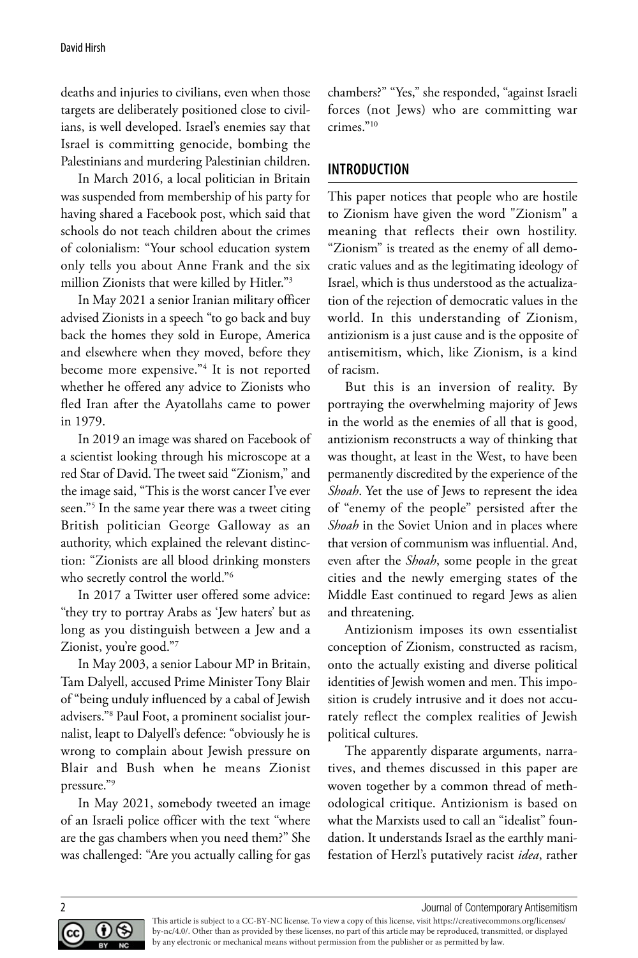deaths and injuries to civilians, even when those targets are deliberately positioned close to civilians, is well developed. Israel's enemies say that Israel is committing genocide, bombing the Palestinians and murdering Palestinian children.

In March 2016, a local politician in Britain was suspended from membership of his party for having shared a Facebook post, which said that schools do not teach children about the crimes of colonialism: "Your school education system only tells you about Anne Frank and the six million Zionists that were killed by Hitler."3

In May 2021 a senior Iranian military officer advised Zionists in a speech "to go back and buy back the homes they sold in Europe, America and elsewhere when they moved, before they become more expensive."4 It is not reported whether he offered any advice to Zionists who fled Iran after the Ayatollahs came to power in 1979.

In 2019 an image was shared on Facebook of a scientist looking through his microscope at a red Star of David. The tweet said "Zionism," and the image said, "This is the worst cancer I've ever seen."5 In the same year there was a tweet citing British politician George Galloway as an authority, which explained the relevant distinction: "Zionists are all blood drinking monsters who secretly control the world."6

In 2017 a Twitter user offered some advice: "they try to portray Arabs as 'Jew haters' but as long as you distinguish between a Jew and a Zionist, you're good."7

In May 2003, a senior Labour MP in Britain, Tam Dalyell, accused Prime Minister Tony Blair of "being unduly influenced by a cabal of Jewish advisers."8 Paul Foot, a prominent socialist journalist, leapt to Dalyell's defence: "obviously he is wrong to complain about Jewish pressure on Blair and Bush when he means Zionist pressure."9

In May 2021, somebody tweeted an image of an Israeli police officer with the text "where are the gas chambers when you need them?" She was challenged: "Are you actually calling for gas

chambers?" "Yes," she responded, "against Israeli forces (not Jews) who are committing war crimes."10

# **INTRODUCTION**

This paper notices that people who are hostile to Zionism have given the word "Zionism" a meaning that reflects their own hostility. "Zionism" is treated as the enemy of all democratic values and as the legitimating ideology of Israel, which is thus understood as the actualization of the rejection of democratic values in the world. In this understanding of Zionism, antizionism is a just cause and is the opposite of antisemitism, which, like Zionism, is a kind of racism.

But this is an inversion of reality. By portraying the overwhelming majority of Jews in the world as the enemies of all that is good, antizionism reconstructs a way of thinking that was thought, at least in the West, to have been permanently discredited by the experience of the *Shoah*. Yet the use of Jews to represent the idea of "enemy of the people" persisted after the *Shoah* in the Soviet Union and in places where that version of communism was influential. And, even after the *Shoah*, some people in the great cities and the newly emerging states of the Middle East continued to regard Jews as alien and threatening.

Antizionism imposes its own essentialist conception of Zionism, constructed as racism, onto the actually existing and diverse political identities of Jewish women and men. This imposition is crudely intrusive and it does not accurately reflect the complex realities of Jewish political cultures.

The apparently disparate arguments, narratives, and themes discussed in this paper are woven together by a common thread of methodological critique. Antizionism is based on what the Marxists used to call an "idealist" foundation. It understands Israel as the earthly manifestation of Herzl's putatively racist *idea*, rather



2 Journal of Contemporary Antisemitism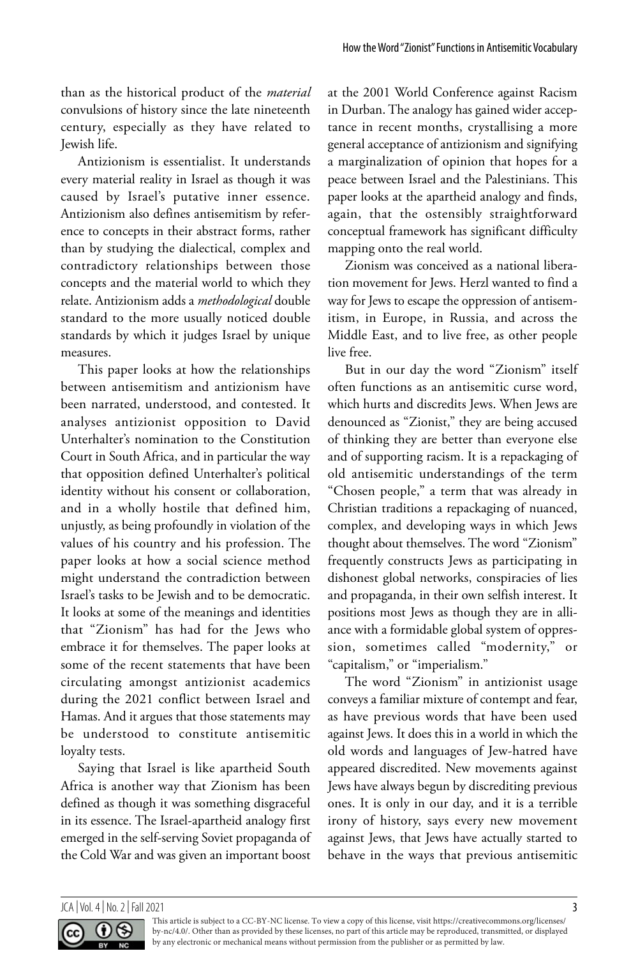than as the historical product of the *material* convulsions of history since the late nineteenth century, especially as they have related to Jewish life.

Antizionism is essentialist. It understands every material reality in Israel as though it was caused by Israel's putative inner essence. Antizionism also defines antisemitism by reference to concepts in their abstract forms, rather than by studying the dialectical, complex and contradictory relationships between those concepts and the material world to which they relate. Antizionism adds a *methodological* double standard to the more usually noticed double standards by which it judges Israel by unique measures.

This paper looks at how the relationships between antisemitism and antizionism have been narrated, understood, and contested. It analyses antizionist opposition to David Unterhalter's nomination to the Constitution Court in South Africa, and in particular the way that opposition defined Unterhalter's political identity without his consent or collaboration, and in a wholly hostile that defined him, unjustly, as being profoundly in violation of the values of his country and his profession. The paper looks at how a social science method might understand the contradiction between Israel's tasks to be Jewish and to be democratic. It looks at some of the meanings and identities that "Zionism" has had for the Jews who embrace it for themselves. The paper looks at some of the recent statements that have been circulating amongst antizionist academics during the 2021 conflict between Israel and Hamas. And it argues that those statements may be understood to constitute antisemitic loyalty tests.

Saying that Israel is like apartheid South Africa is another way that Zionism has been defined as though it was something disgraceful in its essence. The Israel-apartheid analogy first emerged in the self-serving Soviet propaganda of the Cold War and was given an important boost at the 2001 World Conference against Racism in Durban. The analogy has gained wider acceptance in recent months, crystallising a more general acceptance of antizionism and signifying a marginalization of opinion that hopes for a peace between Israel and the Palestinians. This paper looks at the apartheid analogy and finds, again, that the ostensibly straightforward conceptual framework has significant difficulty mapping onto the real world.

Zionism was conceived as a national liberation movement for Jews. Herzl wanted to find a way for Jews to escape the oppression of antisemitism, in Europe, in Russia, and across the Middle East, and to live free, as other people live free.

But in our day the word "Zionism" itself often functions as an antisemitic curse word, which hurts and discredits Jews. When Jews are denounced as "Zionist," they are being accused of thinking they are better than everyone else and of supporting racism. It is a repackaging of old antisemitic understandings of the term "Chosen people," a term that was already in Christian traditions a repackaging of nuanced, complex, and developing ways in which Jews thought about themselves. The word "Zionism" frequently constructs Jews as participating in dishonest global networks, conspiracies of lies and propaganda, in their own selfish interest. It positions most Jews as though they are in alliance with a formidable global system of oppression, sometimes called "modernity," or "capitalism," or "imperialism."

The word "Zionism" in antizionist usage conveys a familiar mixture of contempt and fear, as have previous words that have been used against Jews. It does this in a world in which the old words and languages of Jew-hatred have appeared discredited. New movements against Jews have always begun by discrediting previous ones. It is only in our day, and it is a terrible irony of history, says every new movement against Jews, that Jews have actually started to behave in the ways that previous antisemitic

#### JCA | Vol. 4 | No. 2 | Fall 2021 3

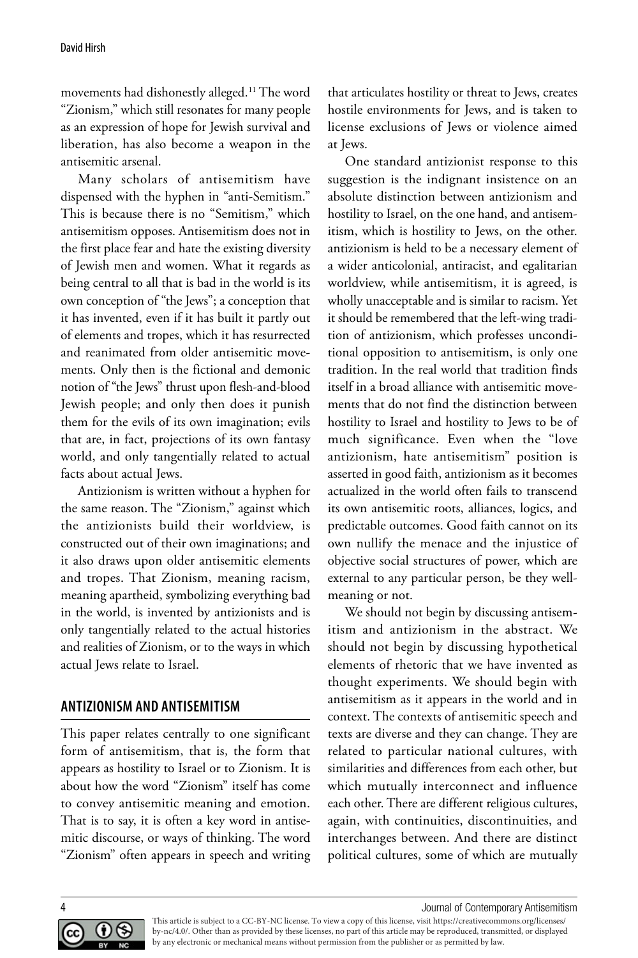movements had dishonestly alleged.11 The word "Zionism," which still resonates for many people as an expression of hope for Jewish survival and liberation, has also become a weapon in the antisemitic arsenal.

Many scholars of antisemitism have dispensed with the hyphen in "anti-Semitism." This is because there is no "Semitism," which antisemitism opposes. Antisemitism does not in the first place fear and hate the existing diversity of Jewish men and women. What it regards as being central to all that is bad in the world is its own conception of "the Jews"; a conception that it has invented, even if it has built it partly out of elements and tropes, which it has resurrected and reanimated from older antisemitic movements. Only then is the fictional and demonic notion of "the Jews" thrust upon flesh-and-blood Jewish people; and only then does it punish them for the evils of its own imagination; evils that are, in fact, projections of its own fantasy world, and only tangentially related to actual facts about actual Jews.

Antizionism is written without a hyphen for the same reason. The "Zionism," against which the antizionists build their worldview, is constructed out of their own imaginations; and it also draws upon older antisemitic elements and tropes. That Zionism, meaning racism, meaning apartheid, symbolizing everything bad in the world, is invented by antizionists and is only tangentially related to the actual histories and realities of Zionism, or to the ways in which actual Jews relate to Israel.

### **ANTIZIONISM AND ANTISEMITISM**

This paper relates centrally to one significant form of antisemitism, that is, the form that appears as hostility to Israel or to Zionism. It is about how the word "Zionism" itself has come to convey antisemitic meaning and emotion. That is to say, it is often a key word in antisemitic discourse, or ways of thinking. The word "Zionism" often appears in speech and writing that articulates hostility or threat to Jews, creates hostile environments for Jews, and is taken to license exclusions of Jews or violence aimed at Jews.

One standard antizionist response to this suggestion is the indignant insistence on an absolute distinction between antizionism and hostility to Israel, on the one hand, and antisemitism, which is hostility to Jews, on the other. antizionism is held to be a necessary element of a wider anticolonial, antiracist, and egalitarian worldview, while antisemitism, it is agreed, is wholly unacceptable and is similar to racism. Yet it should be remembered that the left-wing tradition of antizionism, which professes unconditional opposition to antisemitism, is only one tradition. In the real world that tradition finds itself in a broad alliance with antisemitic movements that do not find the distinction between hostility to Israel and hostility to Jews to be of much significance. Even when the "love antizionism, hate antisemitism" position is asserted in good faith, antizionism as it becomes actualized in the world often fails to transcend its own antisemitic roots, alliances, logics, and predictable outcomes. Good faith cannot on its own nullify the menace and the injustice of objective social structures of power, which are external to any particular person, be they wellmeaning or not.

We should not begin by discussing antisemitism and antizionism in the abstract. We should not begin by discussing hypothetical elements of rhetoric that we have invented as thought experiments. We should begin with antisemitism as it appears in the world and in context. The contexts of antisemitic speech and texts are diverse and they can change. They are related to particular national cultures, with similarities and differences from each other, but which mutually interconnect and influence each other. There are different religious cultures, again, with continuities, discontinuities, and interchanges between. And there are distinct political cultures, some of which are mutually

4 Journal of Contemporary Antisemitism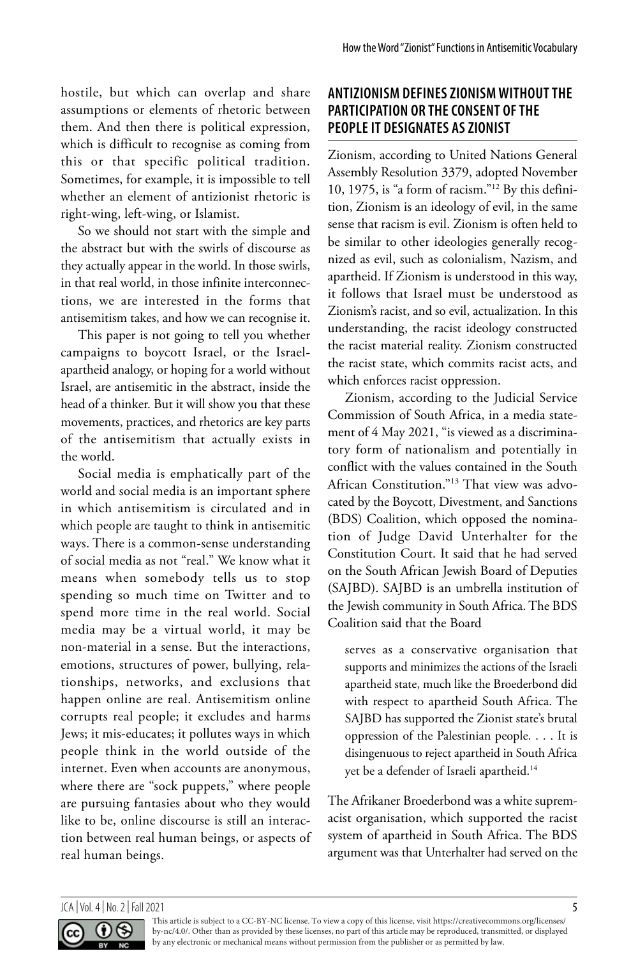hostile, but which can overlap and share assumptions or elements of rhetoric between them. And then there is political expression, which is difficult to recognise as coming from this or that specific political tradition. Sometimes, for example, it is impossible to tell whether an element of antizionist rhetoric is right-wing, left-wing, or Islamist.

So we should not start with the simple and the abstract but with the swirls of discourse as they actually appear in the world. In those swirls, in that real world, in those infinite interconnections, we are interested in the forms that antisemitism takes, and how we can recognise it.

This paper is not going to tell you whether campaigns to boycott Israel, or the Israelapartheid analogy, or hoping for a world without Israel, are antisemitic in the abstract, inside the head of a thinker. But it will show you that these movements, practices, and rhetorics are key parts of the antisemitism that actually exists in the world.

Social media is emphatically part of the world and social media is an important sphere in which antisemitism is circulated and in which people are taught to think in antisemitic ways. There is a common-sense understanding of social media as not "real." We know what it means when somebody tells us to stop spending so much time on Twitter and to spend more time in the real world. Social media may be a virtual world, it may be non-material in a sense. But the interactions, emotions, structures of power, bullying, relationships, networks, and exclusions that happen online are real. Antisemitism online corrupts real people; it excludes and harms Jews; it mis-educates; it pollutes ways in which people think in the world outside of the internet. Even when accounts are anonymous, where there are "sock puppets," where people are pursuing fantasies about who they would like to be, online discourse is still an interaction between real human beings, or aspects of real human beings.

# **ANTIZIONISM DEFINES ZIONISM WITHOUT THE PARTICIPATION OR THE CONSENT OF THE PEOPLE IT DESIGNATES AS ZIONIST**

Zionism, according to United Nations General Assembly Resolution 3379, adopted November 10, 1975, is "a form of racism."12 By this definition, Zionism is an ideology of evil, in the same sense that racism is evil. Zionism is often held to be similar to other ideologies generally recognized as evil, such as colonialism, Nazism, and apartheid. If Zionism is understood in this way, it follows that Israel must be understood as Zionism's racist, and so evil, actualization. In this understanding, the racist ideology constructed the racist material reality. Zionism constructed the racist state, which commits racist acts, and which enforces racist oppression.

Zionism, according to the Judicial Service Commission of South Africa, in a media statement of 4 May 2021, "is viewed as a discriminatory form of nationalism and potentially in conflict with the values contained in the South African Constitution."13 That view was advocated by the Boycott, Divestment, and Sanctions (BDS) Coalition, which opposed the nomination of Judge David Unterhalter for the Constitution Court. It said that he had served on the South African Jewish Board of Deputies (SAJBD). SAJBD is an umbrella institution of the Jewish community in South Africa. The BDS Coalition said that the Board

serves as a conservative organisation that supports and minimizes the actions of the Israeli apartheid state, much like the Broederbond did with respect to apartheid South Africa. The SAJBD has supported the Zionist state's brutal oppression of the Palestinian people. . . . It is disingenuous to reject apartheid in South Africa yet be a defender of Israeli apartheid.<sup>14</sup>

The Afrikaner Broederbond was a white supremacist organisation, which supported the racist system of apartheid in South Africa. The BDS argument was that Unterhalter had served on the

#### $JCA$  | Vol. 4 | No. 2 | Fall 2021  $5$

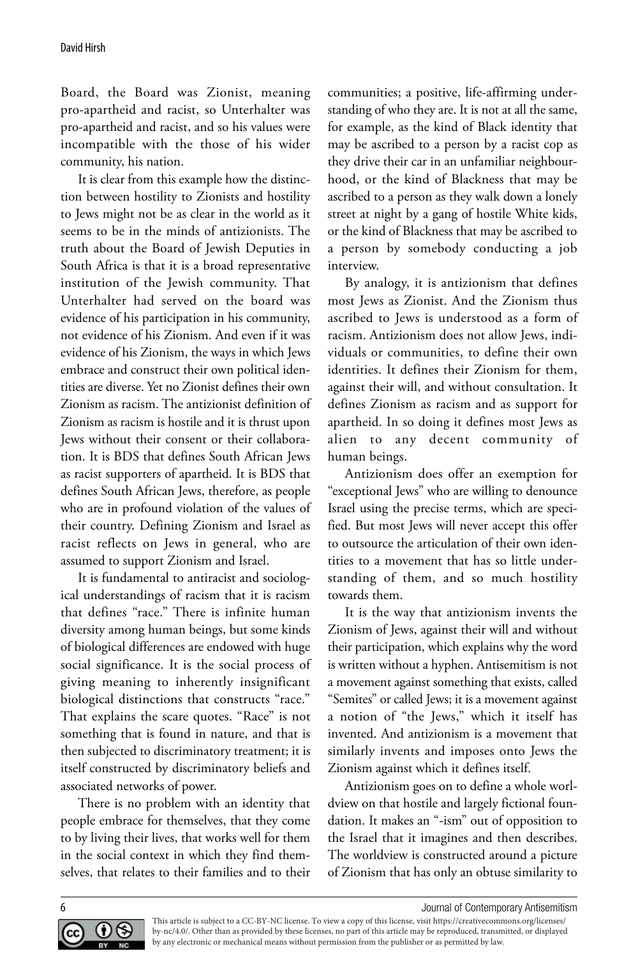Board, the Board was Zionist, meaning pro-apartheid and racist, so Unterhalter was pro-apartheid and racist, and so his values were incompatible with the those of his wider community, his nation.

It is clear from this example how the distinction between hostility to Zionists and hostility to Jews might not be as clear in the world as it seems to be in the minds of antizionists. The truth about the Board of Jewish Deputies in South Africa is that it is a broad representative institution of the Jewish community. That Unterhalter had served on the board was evidence of his participation in his community, not evidence of his Zionism. And even if it was evidence of his Zionism, the ways in which Jews embrace and construct their own political identities are diverse. Yet no Zionist defines their own Zionism as racism. The antizionist definition of Zionism as racism is hostile and it is thrust upon Jews without their consent or their collaboration. It is BDS that defines South African Jews as racist supporters of apartheid. It is BDS that defines South African Jews, therefore, as people who are in profound violation of the values of their country. Defining Zionism and Israel as racist reflects on Jews in general, who are assumed to support Zionism and Israel.

It is fundamental to antiracist and sociological understandings of racism that it is racism that defines "race." There is infinite human diversity among human beings, but some kinds of biological differences are endowed with huge social significance. It is the social process of giving meaning to inherently insignificant biological distinctions that constructs "race." That explains the scare quotes. "Race" is not something that is found in nature, and that is then subjected to discriminatory treatment; it is itself constructed by discriminatory beliefs and associated networks of power.

There is no problem with an identity that people embrace for themselves, that they come to by living their lives, that works well for them in the social context in which they find themselves, that relates to their families and to their communities; a positive, life-affirming understanding of who they are. It is not at all the same, for example, as the kind of Black identity that may be ascribed to a person by a racist cop as they drive their car in an unfamiliar neighbourhood, or the kind of Blackness that may be ascribed to a person as they walk down a lonely street at night by a gang of hostile White kids, or the kind of Blackness that may be ascribed to a person by somebody conducting a job interview.

By analogy, it is antizionism that defines most Jews as Zionist. And the Zionism thus ascribed to Jews is understood as a form of racism. Antizionism does not allow Jews, individuals or communities, to define their own identities. It defines their Zionism for them, against their will, and without consultation. It defines Zionism as racism and as support for apartheid. In so doing it defines most Jews as alien to any decent community of human beings.

Antizionism does offer an exemption for "exceptional Jews" who are willing to denounce Israel using the precise terms, which are specified. But most Jews will never accept this offer to outsource the articulation of their own identities to a movement that has so little understanding of them, and so much hostility towards them.

It is the way that antizionism invents the Zionism of Jews, against their will and without their participation, which explains why the word is written without a hyphen. Antisemitism is not a movement against something that exists, called "Semites" or called Jews; it is a movement against a notion of "the Jews," which it itself has invented. And antizionism is a movement that similarly invents and imposes onto Jews the Zionism against which it defines itself.

Antizionism goes on to define a whole worldview on that hostile and largely fictional foundation. It makes an "-ism" out of opposition to the Israel that it imagines and then describes. The worldview is constructed around a picture of Zionism that has only an obtuse similarity to

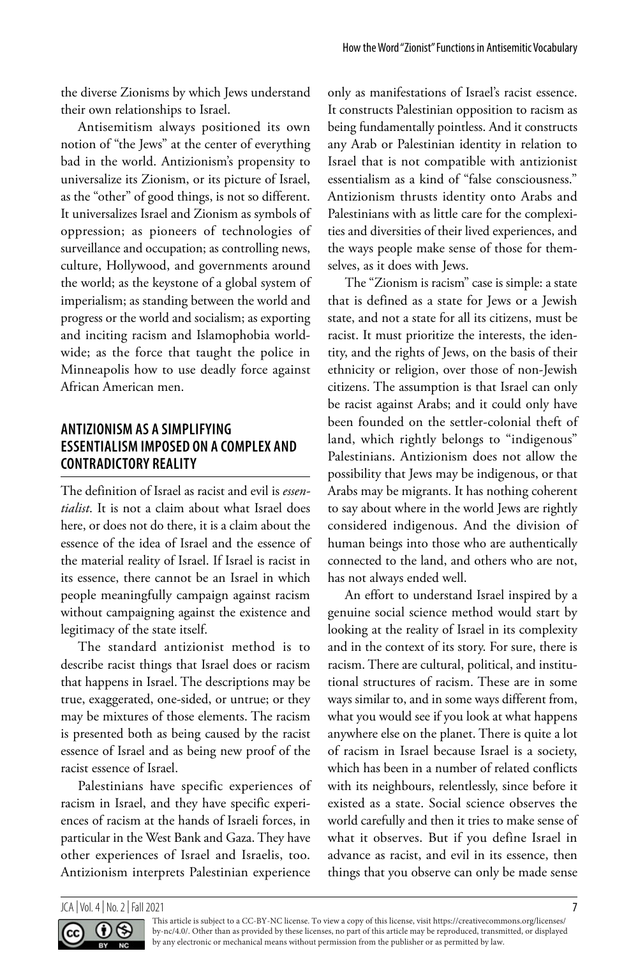the diverse Zionisms by which Jews understand their own relationships to Israel.

Antisemitism always positioned its own notion of "the Jews" at the center of everything bad in the world. Antizionism's propensity to universalize its Zionism, or its picture of Israel, as the "other" of good things, is not so different. It universalizes Israel and Zionism as symbols of oppression; as pioneers of technologies of surveillance and occupation; as controlling news, culture, Hollywood, and governments around the world; as the keystone of a global system of imperialism; as standing between the world and progress or the world and socialism; as exporting and inciting racism and Islamophobia worldwide; as the force that taught the police in Minneapolis how to use deadly force against African American men.

# **ANTIZIONISM AS A SIMPLIFYING ESSENTIALISM IMPOSED ON A COMPLEX AND CONTRADICTORY REALITY**

The definition of Israel as racist and evil is *essentialist*. It is not a claim about what Israel does here, or does not do there, it is a claim about the essence of the idea of Israel and the essence of the material reality of Israel. If Israel is racist in its essence, there cannot be an Israel in which people meaningfully campaign against racism without campaigning against the existence and legitimacy of the state itself.

The standard antizionist method is to describe racist things that Israel does or racism that happens in Israel. The descriptions may be true, exaggerated, one-sided, or untrue; or they may be mixtures of those elements. The racism is presented both as being caused by the racist essence of Israel and as being new proof of the racist essence of Israel.

Palestinians have specific experiences of racism in Israel, and they have specific experiences of racism at the hands of Israeli forces, in particular in the West Bank and Gaza. They have other experiences of Israel and Israelis, too. Antizionism interprets Palestinian experience only as manifestations of Israel's racist essence. It constructs Palestinian opposition to racism as being fundamentally pointless. And it constructs any Arab or Palestinian identity in relation to Israel that is not compatible with antizionist essentialism as a kind of "false consciousness." Antizionism thrusts identity onto Arabs and Palestinians with as little care for the complexities and diversities of their lived experiences, and the ways people make sense of those for themselves, as it does with Jews.

The "Zionism is racism" case is simple: a state that is defined as a state for Jews or a Jewish state, and not a state for all its citizens, must be racist. It must prioritize the interests, the identity, and the rights of Jews, on the basis of their ethnicity or religion, over those of non-Jewish citizens. The assumption is that Israel can only be racist against Arabs; and it could only have been founded on the settler-colonial theft of land, which rightly belongs to "indigenous" Palestinians. Antizionism does not allow the possibility that Jews may be indigenous, or that Arabs may be migrants. It has nothing coherent to say about where in the world Jews are rightly considered indigenous. And the division of human beings into those who are authentically connected to the land, and others who are not, has not always ended well.

An effort to understand Israel inspired by a genuine social science method would start by looking at the reality of Israel in its complexity and in the context of its story. For sure, there is racism. There are cultural, political, and institutional structures of racism. These are in some ways similar to, and in some ways different from, what you would see if you look at what happens anywhere else on the planet. There is quite a lot of racism in Israel because Israel is a society, which has been in a number of related conflicts with its neighbours, relentlessly, since before it existed as a state. Social science observes the world carefully and then it tries to make sense of what it observes. But if you define Israel in advance as racist, and evil in its essence, then things that you observe can only be made sense

 $JCA$  | Vol. 4 | No. 2 | Fall 2021  $J$ 

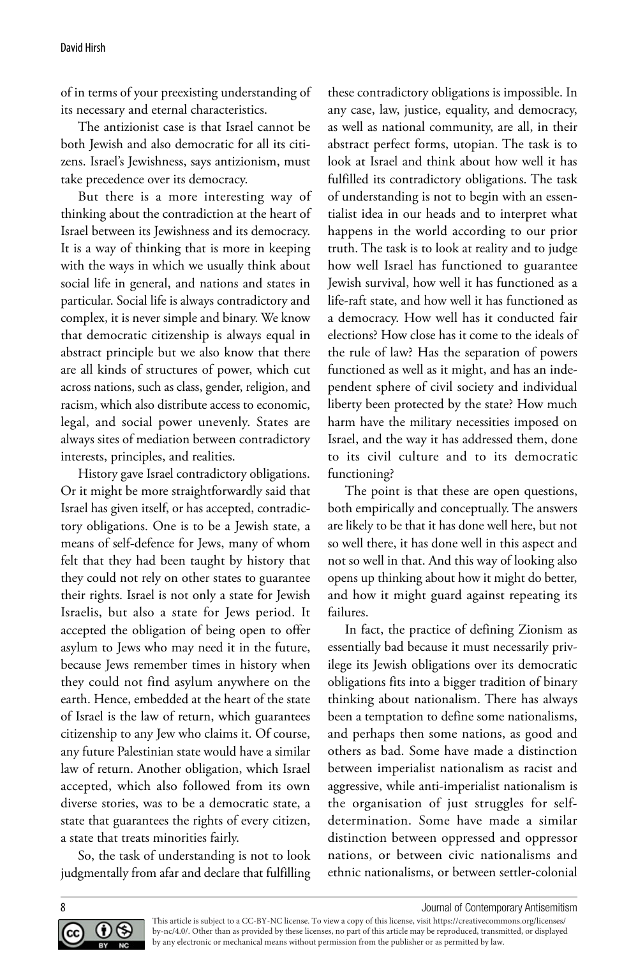of in terms of your preexisting understanding of its necessary and eternal characteristics.

The antizionist case is that Israel cannot be both Jewish and also democratic for all its citizens. Israel's Jewishness, says antizionism, must take precedence over its democracy.

But there is a more interesting way of thinking about the contradiction at the heart of Israel between its Jewishness and its democracy. It is a way of thinking that is more in keeping with the ways in which we usually think about social life in general, and nations and states in particular. Social life is always contradictory and complex, it is never simple and binary. We know that democratic citizenship is always equal in abstract principle but we also know that there are all kinds of structures of power, which cut across nations, such as class, gender, religion, and racism, which also distribute access to economic, legal, and social power unevenly. States are always sites of mediation between contradictory interests, principles, and realities.

History gave Israel contradictory obligations. Or it might be more straightforwardly said that Israel has given itself, or has accepted, contradictory obligations. One is to be a Jewish state, a means of self-defence for Jews, many of whom felt that they had been taught by history that they could not rely on other states to guarantee their rights. Israel is not only a state for Jewish Israelis, but also a state for Jews period. It accepted the obligation of being open to offer asylum to Jews who may need it in the future, because Jews remember times in history when they could not find asylum anywhere on the earth. Hence, embedded at the heart of the state of Israel is the law of return, which guarantees citizenship to any Jew who claims it. Of course, any future Palestinian state would have a similar law of return. Another obligation, which Israel accepted, which also followed from its own diverse stories, was to be a democratic state, a state that guarantees the rights of every citizen, a state that treats minorities fairly.

So, the task of understanding is not to look judgmentally from afar and declare that fulfilling these contradictory obligations is impossible. In any case, law, justice, equality, and democracy, as well as national community, are all, in their abstract perfect forms, utopian. The task is to look at Israel and think about how well it has fulfilled its contradictory obligations. The task of understanding is not to begin with an essentialist idea in our heads and to interpret what happens in the world according to our prior truth. The task is to look at reality and to judge how well Israel has functioned to guarantee Jewish survival, how well it has functioned as a life-raft state, and how well it has functioned as a democracy. How well has it conducted fair elections? How close has it come to the ideals of the rule of law? Has the separation of powers functioned as well as it might, and has an independent sphere of civil society and individual liberty been protected by the state? How much harm have the military necessities imposed on Israel, and the way it has addressed them, done to its civil culture and to its democratic functioning?

The point is that these are open questions, both empirically and conceptually. The answers are likely to be that it has done well here, but not so well there, it has done well in this aspect and not so well in that. And this way of looking also opens up thinking about how it might do better, and how it might guard against repeating its failures.

In fact, the practice of defining Zionism as essentially bad because it must necessarily privilege its Jewish obligations over its democratic obligations fits into a bigger tradition of binary thinking about nationalism. There has always been a temptation to define some nationalisms, and perhaps then some nations, as good and others as bad. Some have made a distinction between imperialist nationalism as racist and aggressive, while anti-imperialist nationalism is the organisation of just struggles for selfdetermination. Some have made a similar distinction between oppressed and oppressor nations, or between civic nationalisms and ethnic nationalisms, or between settler-colonial



8 Journal of Contemporary Antisemitism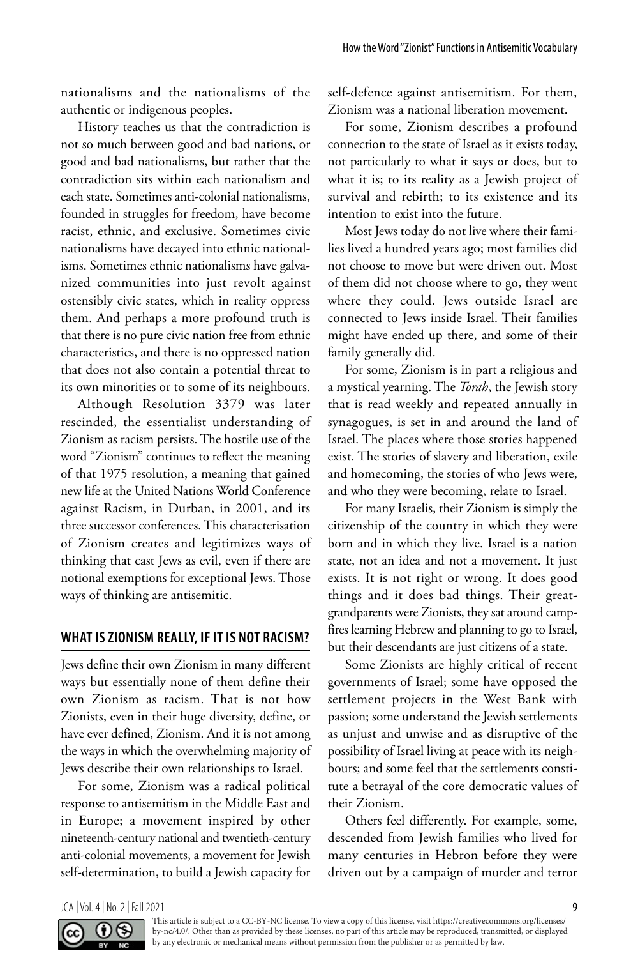nationalisms and the nationalisms of the authentic or indigenous peoples.

History teaches us that the contradiction is not so much between good and bad nations, or good and bad nationalisms, but rather that the contradiction sits within each nationalism and each state. Sometimes anti-colonial nationalisms, founded in struggles for freedom, have become racist, ethnic, and exclusive. Sometimes civic nationalisms have decayed into ethnic nationalisms. Sometimes ethnic nationalisms have galvanized communities into just revolt against ostensibly civic states, which in reality oppress them. And perhaps a more profound truth is that there is no pure civic nation free from ethnic characteristics, and there is no oppressed nation that does not also contain a potential threat to its own minorities or to some of its neighbours.

Although Resolution 3379 was later rescinded, the essentialist understanding of Zionism as racism persists. The hostile use of the word "Zionism" continues to reflect the meaning of that 1975 resolution, a meaning that gained new life at the United Nations World Conference against Racism, in Durban, in 2001, and its three successor conferences. This characterisation of Zionism creates and legitimizes ways of thinking that cast Jews as evil, even if there are notional exemptions for exceptional Jews. Those ways of thinking are antisemitic.

# **WHAT IS ZIONISM REALLY, IF IT IS NOT RACISM?**

Jews define their own Zionism in many different ways but essentially none of them define their own Zionism as racism. That is not how Zionists, even in their huge diversity, define, or have ever defined, Zionism. And it is not among the ways in which the overwhelming majority of Jews describe their own relationships to Israel.

For some, Zionism was a radical political response to antisemitism in the Middle East and in Europe; a movement inspired by other nineteenth-century national and twentieth-century anti-colonial movements, a movement for Jewish self-determination, to build a Jewish capacity for self-defence against antisemitism. For them, Zionism was a national liberation movement.

For some, Zionism describes a profound connection to the state of Israel as it exists today, not particularly to what it says or does, but to what it is; to its reality as a Jewish project of survival and rebirth; to its existence and its intention to exist into the future.

Most Jews today do not live where their families lived a hundred years ago; most families did not choose to move but were driven out. Most of them did not choose where to go, they went where they could. Jews outside Israel are connected to Jews inside Israel. Their families might have ended up there, and some of their family generally did.

For some, Zionism is in part a religious and a mystical yearning. The *Torah*, the Jewish story that is read weekly and repeated annually in synagogues, is set in and around the land of Israel. The places where those stories happened exist. The stories of slavery and liberation, exile and homecoming, the stories of who Jews were, and who they were becoming, relate to Israel.

For many Israelis, their Zionism is simply the citizenship of the country in which they were born and in which they live. Israel is a nation state, not an idea and not a movement. It just exists. It is not right or wrong. It does good things and it does bad things. Their greatgrandparents were Zionists, they sat around campfires learning Hebrew and planning to go to Israel, but their descendants are just citizens of a state.

Some Zionists are highly critical of recent governments of Israel; some have opposed the settlement projects in the West Bank with passion; some understand the Jewish settlements as unjust and unwise and as disruptive of the possibility of Israel living at peace with its neighbours; and some feel that the settlements constitute a betrayal of the core democratic values of their Zionism.

Others feel differently. For example, some, descended from Jewish families who lived for many centuries in Hebron before they were driven out by a campaign of murder and terror

#### JCA | Vol. 4 | No. 2 | Fall 2021 9

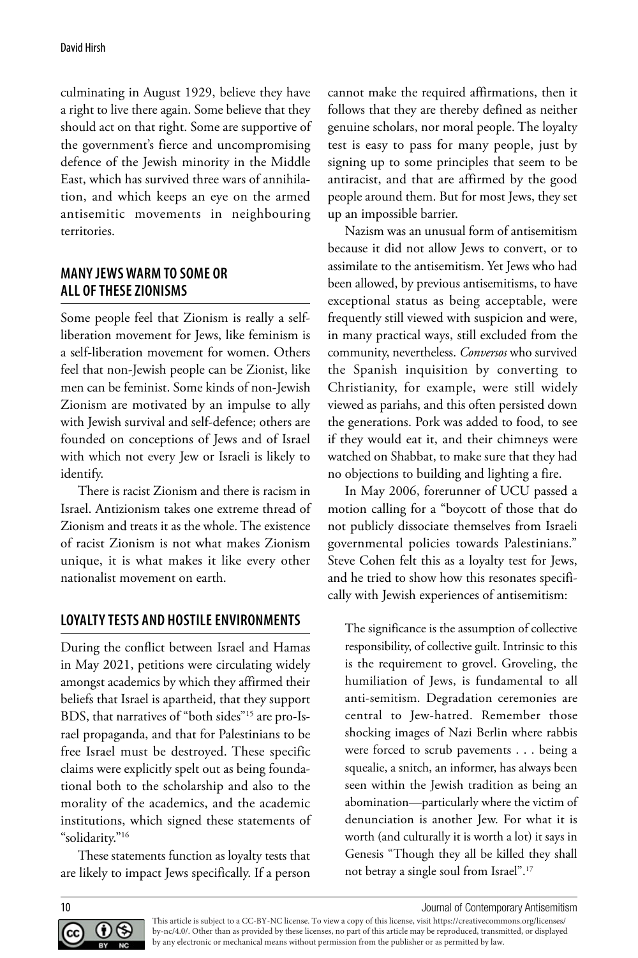culminating in August 1929, believe they have a right to live there again. Some believe that they should act on that right. Some are supportive of the government's fierce and uncompromising defence of the Jewish minority in the Middle East, which has survived three wars of annihilation, and which keeps an eye on the armed antisemitic movements in neighbouring territories.

### **MANY JEWS WARM TO SOME OR ALL OF THESE ZIONISMS**

Some people feel that Zionism is really a selfliberation movement for Jews, like feminism is a self-liberation movement for women. Others feel that non-Jewish people can be Zionist, like men can be feminist. Some kinds of non-Jewish Zionism are motivated by an impulse to ally with Jewish survival and self-defence; others are founded on conceptions of Jews and of Israel with which not every Jew or Israeli is likely to identify.

There is racist Zionism and there is racism in Israel. Antizionism takes one extreme thread of Zionism and treats it as the whole. The existence of racist Zionism is not what makes Zionism unique, it is what makes it like every other nationalist movement on earth.

# **LOYALTY TESTS AND HOSTILE ENVIRONMENTS**

During the conflict between Israel and Hamas in May 2021, petitions were circulating widely amongst academics by which they affirmed their beliefs that Israel is apartheid, that they support BDS, that narratives of "both sides"15 are pro-Israel propaganda, and that for Palestinians to be free Israel must be destroyed. These specific claims were explicitly spelt out as being foundational both to the scholarship and also to the morality of the academics, and the academic institutions, which signed these statements of "solidarity."16

These statements function as loyalty tests that are likely to impact Jews specifically. If a person cannot make the required affirmations, then it follows that they are thereby defined as neither genuine scholars, nor moral people. The loyalty test is easy to pass for many people, just by signing up to some principles that seem to be antiracist, and that are affirmed by the good people around them. But for most Jews, they set up an impossible barrier.

Nazism was an unusual form of antisemitism because it did not allow Jews to convert, or to assimilate to the antisemitism. Yet Jews who had been allowed, by previous antisemitisms, to have exceptional status as being acceptable, were frequently still viewed with suspicion and were, in many practical ways, still excluded from the community, nevertheless. *Conversos* who survived the Spanish inquisition by converting to Christianity, for example, were still widely viewed as pariahs, and this often persisted down the generations. Pork was added to food, to see if they would eat it, and their chimneys were watched on Shabbat, to make sure that they had no objections to building and lighting a fire.

In May 2006, forerunner of UCU passed a motion calling for a "boycott of those that do not publicly dissociate themselves from Israeli governmental policies towards Palestinians." Steve Cohen felt this as a loyalty test for Jews, and he tried to show how this resonates specifically with Jewish experiences of antisemitism:

The significance is the assumption of collective responsibility, of collective guilt. Intrinsic to this is the requirement to grovel. Groveling, the humiliation of Jews, is fundamental to all anti-semitism. Degradation ceremonies are central to Jew-hatred. Remember those shocking images of Nazi Berlin where rabbis were forced to scrub pavements . . . being a squealie, a snitch, an informer, has always been seen within the Jewish tradition as being an abomination—particularly where the victim of denunciation is another Jew. For what it is worth (and culturally it is worth a lot) it says in Genesis "Though they all be killed they shall not betray a single soul from Israel".17



10 Journal of Contemporary Antisemitism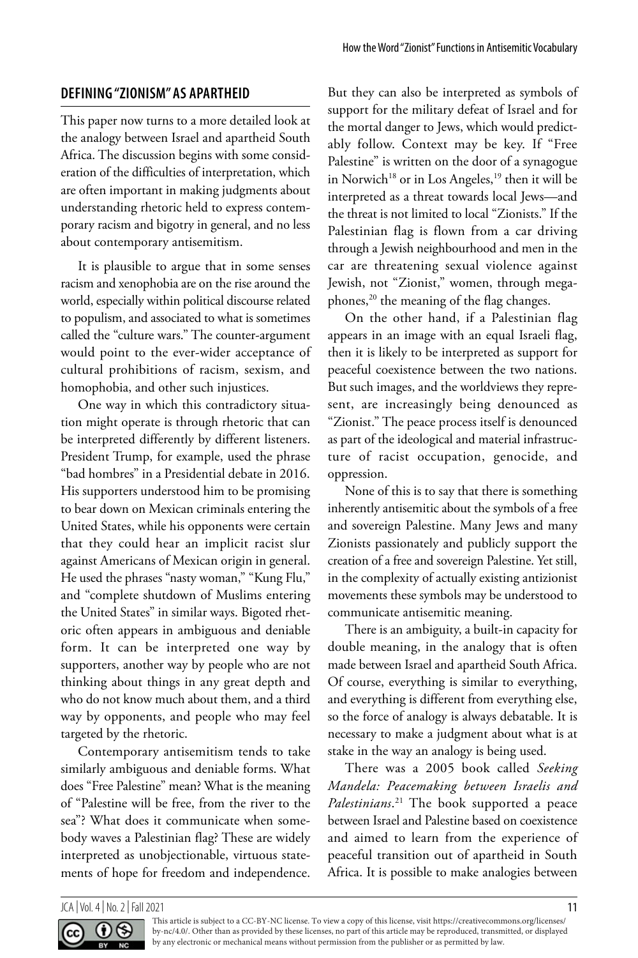### **DEFINING "ZIONISM" AS APARTHEID**

This paper now turns to a more detailed look at the analogy between Israel and apartheid South Africa. The discussion begins with some consideration of the difficulties of interpretation, which are often important in making judgments about understanding rhetoric held to express contemporary racism and bigotry in general, and no less about contemporary antisemitism.

It is plausible to argue that in some senses racism and xenophobia are on the rise around the world, especially within political discourse related to populism, and associated to what is sometimes called the "culture wars." The counter-argument would point to the ever-wider acceptance of cultural prohibitions of racism, sexism, and homophobia, and other such injustices.

One way in which this contradictory situation might operate is through rhetoric that can be interpreted differently by different listeners. President Trump, for example, used the phrase "bad hombres" in a Presidential debate in 2016. His supporters understood him to be promising to bear down on Mexican criminals entering the United States, while his opponents were certain that they could hear an implicit racist slur against Americans of Mexican origin in general. He used the phrases "nasty woman," "Kung Flu," and "complete shutdown of Muslims entering the United States" in similar ways. Bigoted rhetoric often appears in ambiguous and deniable form. It can be interpreted one way by supporters, another way by people who are not thinking about things in any great depth and who do not know much about them, and a third way by opponents, and people who may feel targeted by the rhetoric.

Contemporary antisemitism tends to take similarly ambiguous and deniable forms. What does "Free Palestine" mean? What is the meaning of "Palestine will be free, from the river to the sea"? What does it communicate when somebody waves a Palestinian flag? These are widely interpreted as unobjectionable, virtuous statements of hope for freedom and independence.

But they can also be interpreted as symbols of support for the military defeat of Israel and for the mortal danger to Jews, which would predictably follow. Context may be key. If "Free Palestine" is written on the door of a synagogue in Norwich<sup>18</sup> or in Los Angeles,<sup>19</sup> then it will be interpreted as a threat towards local Jews—and the threat is not limited to local "Zionists." If the Palestinian flag is flown from a car driving through a Jewish neighbourhood and men in the car are threatening sexual violence against Jewish, not "Zionist," women, through megaphones,<sup>20</sup> the meaning of the flag changes.

On the other hand, if a Palestinian flag appears in an image with an equal Israeli flag, then it is likely to be interpreted as support for peaceful coexistence between the two nations. But such images, and the worldviews they represent, are increasingly being denounced as "Zionist." The peace process itself is denounced as part of the ideological and material infrastructure of racist occupation, genocide, and oppression.

None of this is to say that there is something inherently antisemitic about the symbols of a free and sovereign Palestine. Many Jews and many Zionists passionately and publicly support the creation of a free and sovereign Palestine. Yet still, in the complexity of actually existing antizionist movements these symbols may be understood to communicate antisemitic meaning.

There is an ambiguity, a built-in capacity for double meaning, in the analogy that is often made between Israel and apartheid South Africa. Of course, everything is similar to everything, and everything is different from everything else, so the force of analogy is always debatable. It is necessary to make a judgment about what is at stake in the way an analogy is being used.

There was a 2005 book called *Seeking Mandela: Peacemaking between Israelis and Palestinians*. 21 The book supported a peace between Israel and Palestine based on coexistence and aimed to learn from the experience of peaceful transition out of apartheid in South Africa. It is possible to make analogies between

 $JCA$  | Vol. 4 | No. 2 | Fall 2021 11

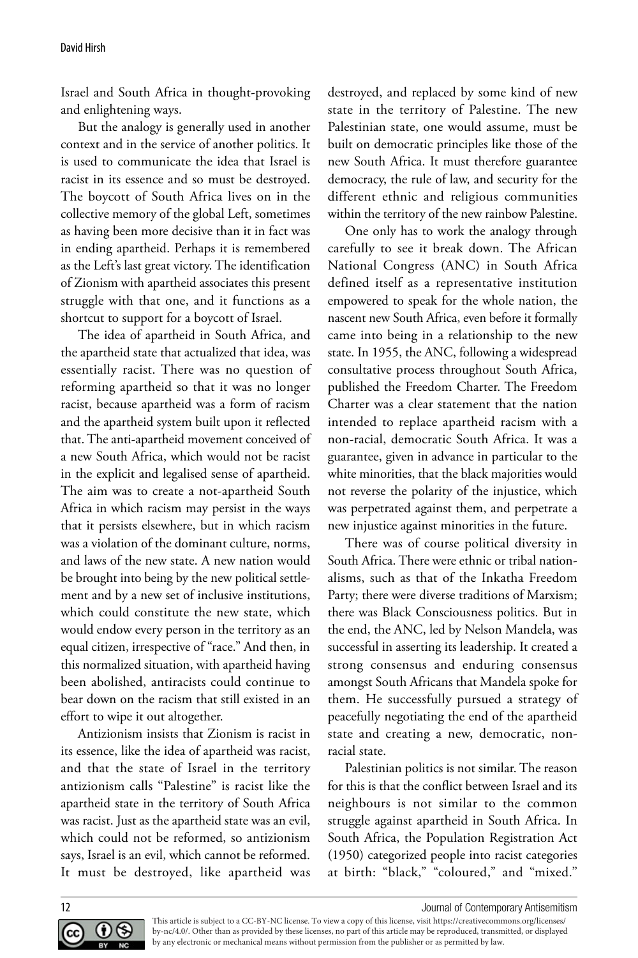Israel and South Africa in thought-provoking and enlightening ways.

But the analogy is generally used in another context and in the service of another politics. It is used to communicate the idea that Israel is racist in its essence and so must be destroyed. The boycott of South Africa lives on in the collective memory of the global Left, sometimes as having been more decisive than it in fact was in ending apartheid. Perhaps it is remembered as the Left's last great victory. The identification of Zionism with apartheid associates this present struggle with that one, and it functions as a shortcut to support for a boycott of Israel.

The idea of apartheid in South Africa, and the apartheid state that actualized that idea, was essentially racist. There was no question of reforming apartheid so that it was no longer racist, because apartheid was a form of racism and the apartheid system built upon it reflected that. The anti-apartheid movement conceived of a new South Africa, which would not be racist in the explicit and legalised sense of apartheid. The aim was to create a not-apartheid South Africa in which racism may persist in the ways that it persists elsewhere, but in which racism was a violation of the dominant culture, norms, and laws of the new state. A new nation would be brought into being by the new political settlement and by a new set of inclusive institutions, which could constitute the new state, which would endow every person in the territory as an equal citizen, irrespective of "race." And then, in this normalized situation, with apartheid having been abolished, antiracists could continue to bear down on the racism that still existed in an effort to wipe it out altogether.

Antizionism insists that Zionism is racist in its essence, like the idea of apartheid was racist, and that the state of Israel in the territory antizionism calls "Palestine" is racist like the apartheid state in the territory of South Africa was racist. Just as the apartheid state was an evil, which could not be reformed, so antizionism says, Israel is an evil, which cannot be reformed. It must be destroyed, like apartheid was destroyed, and replaced by some kind of new state in the territory of Palestine. The new Palestinian state, one would assume, must be built on democratic principles like those of the new South Africa. It must therefore guarantee democracy, the rule of law, and security for the different ethnic and religious communities within the territory of the new rainbow Palestine.

One only has to work the analogy through carefully to see it break down. The African National Congress (ANC) in South Africa defined itself as a representative institution empowered to speak for the whole nation, the nascent new South Africa, even before it formally came into being in a relationship to the new state. In 1955, the ANC, following a widespread consultative process throughout South Africa, published the Freedom Charter. The Freedom Charter was a clear statement that the nation intended to replace apartheid racism with a non-racial, democratic South Africa. It was a guarantee, given in advance in particular to the white minorities, that the black majorities would not reverse the polarity of the injustice, which was perpetrated against them, and perpetrate a new injustice against minorities in the future.

There was of course political diversity in South Africa. There were ethnic or tribal nationalisms, such as that of the Inkatha Freedom Party; there were diverse traditions of Marxism; there was Black Consciousness politics. But in the end, the ANC, led by Nelson Mandela, was successful in asserting its leadership. It created a strong consensus and enduring consensus amongst South Africans that Mandela spoke for them. He successfully pursued a strategy of peacefully negotiating the end of the apartheid state and creating a new, democratic, nonracial state.

Palestinian politics is not similar. The reason for this is that the conflict between Israel and its neighbours is not similar to the common struggle against apartheid in South Africa. In South Africa, the Population Registration Act (1950) categorized people into racist categories at birth: "black," "coloured," and "mixed."



12 **12** Journal of Contemporary Antisemitism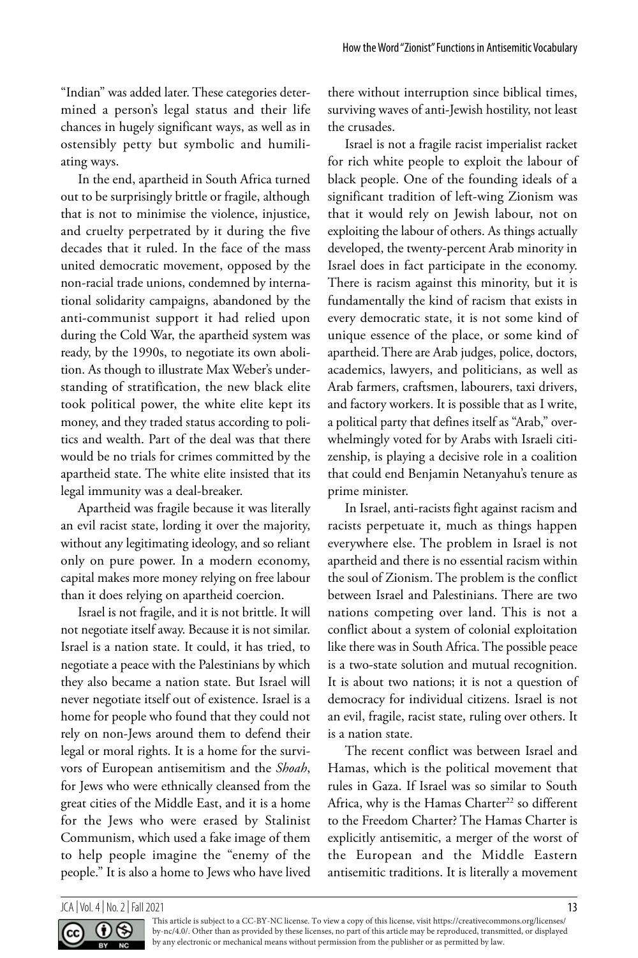"Indian" was added later. These categories determined a person's legal status and their life chances in hugely significant ways, as well as in ostensibly petty but symbolic and humiliating ways.

In the end, apartheid in South Africa turned out to be surprisingly brittle or fragile, although that is not to minimise the violence, injustice, and cruelty perpetrated by it during the five decades that it ruled. In the face of the mass united democratic movement, opposed by the non-racial trade unions, condemned by international solidarity campaigns, abandoned by the anti-communist support it had relied upon during the Cold War, the apartheid system was ready, by the 1990s, to negotiate its own abolition. As though to illustrate Max Weber's understanding of stratification, the new black elite took political power, the white elite kept its money, and they traded status according to politics and wealth. Part of the deal was that there would be no trials for crimes committed by the apartheid state. The white elite insisted that its legal immunity was a deal-breaker.

Apartheid was fragile because it was literally an evil racist state, lording it over the majority, without any legitimating ideology, and so reliant only on pure power. In a modern economy, capital makes more money relying on free labour than it does relying on apartheid coercion.

Israel is not fragile, and it is not brittle. It will not negotiate itself away. Because it is not similar. Israel is a nation state. It could, it has tried, to negotiate a peace with the Palestinians by which they also became a nation state. But Israel will never negotiate itself out of existence. Israel is a home for people who found that they could not rely on non-Jews around them to defend their legal or moral rights. It is a home for the survivors of European antisemitism and the *Shoah*, for Jews who were ethnically cleansed from the great cities of the Middle East, and it is a home for the Jews who were erased by Stalinist Communism, which used a fake image of them to help people imagine the "enemy of the people." It is also a home to Jews who have lived there without interruption since biblical times, surviving waves of anti-Jewish hostility, not least the crusades.

Israel is not a fragile racist imperialist racket for rich white people to exploit the labour of black people. One of the founding ideals of a significant tradition of left-wing Zionism was that it would rely on Jewish labour, not on exploiting the labour of others. As things actually developed, the twenty-percent Arab minority in Israel does in fact participate in the economy. There is racism against this minority, but it is fundamentally the kind of racism that exists in every democratic state, it is not some kind of unique essence of the place, or some kind of apartheid. There are Arab judges, police, doctors, academics, lawyers, and politicians, as well as Arab farmers, craftsmen, labourers, taxi drivers, and factory workers. It is possible that as I write, a political party that defines itself as "Arab," overwhelmingly voted for by Arabs with Israeli citizenship, is playing a decisive role in a coalition that could end Benjamin Netanyahu's tenure as prime minister.

In Israel, anti-racists fight against racism and racists perpetuate it, much as things happen everywhere else. The problem in Israel is not apartheid and there is no essential racism within the soul of Zionism. The problem is the conflict between Israel and Palestinians. There are two nations competing over land. This is not a conflict about a system of colonial exploitation like there was in South Africa. The possible peace is a two-state solution and mutual recognition. It is about two nations; it is not a question of democracy for individual citizens. Israel is not an evil, fragile, racist state, ruling over others. It is a nation state.

The recent conflict was between Israel and Hamas, which is the political movement that rules in Gaza. If Israel was so similar to South Africa, why is the Hamas Charter<sup>22</sup> so different to the Freedom Charter? The Hamas Charter is explicitly antisemitic, a merger of the worst of the European and the Middle Eastern antisemitic traditions. It is literally a movement

#### JCA | Vol. 4 | No. 2 | Fall 2021 13

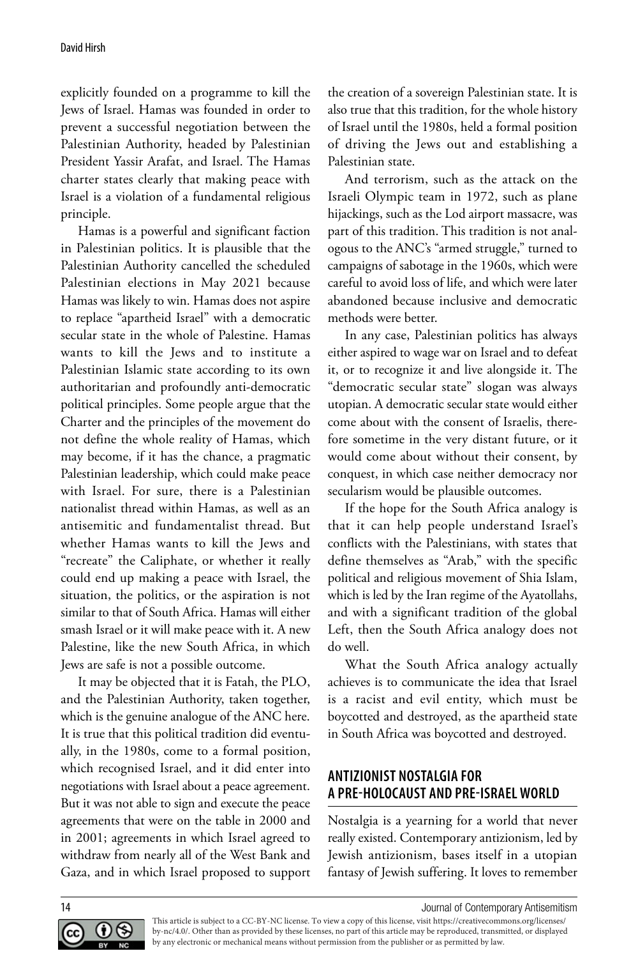explicitly founded on a programme to kill the Jews of Israel. Hamas was founded in order to prevent a successful negotiation between the Palestinian Authority, headed by Palestinian President Yassir Arafat, and Israel. The Hamas charter states clearly that making peace with Israel is a violation of a fundamental religious principle.

Hamas is a powerful and significant faction in Palestinian politics. It is plausible that the Palestinian Authority cancelled the scheduled Palestinian elections in May 2021 because Hamas was likely to win. Hamas does not aspire to replace "apartheid Israel" with a democratic secular state in the whole of Palestine. Hamas wants to kill the Jews and to institute a Palestinian Islamic state according to its own authoritarian and profoundly anti-democratic political principles. Some people argue that the Charter and the principles of the movement do not define the whole reality of Hamas, which may become, if it has the chance, a pragmatic Palestinian leadership, which could make peace with Israel. For sure, there is a Palestinian nationalist thread within Hamas, as well as an antisemitic and fundamentalist thread. But whether Hamas wants to kill the Jews and "recreate" the Caliphate, or whether it really could end up making a peace with Israel, the situation, the politics, or the aspiration is not similar to that of South Africa. Hamas will either smash Israel or it will make peace with it. A new Palestine, like the new South Africa, in which Jews are safe is not a possible outcome.

It may be objected that it is Fatah, the PLO, and the Palestinian Authority, taken together, which is the genuine analogue of the ANC here. It is true that this political tradition did eventually, in the 1980s, come to a formal position, which recognised Israel, and it did enter into negotiations with Israel about a peace agreement. But it was not able to sign and execute the peace agreements that were on the table in 2000 and in 2001; agreements in which Israel agreed to withdraw from nearly all of the West Bank and Gaza, and in which Israel proposed to support the creation of a sovereign Palestinian state. It is also true that this tradition, for the whole history of Israel until the 1980s, held a formal position of driving the Jews out and establishing a Palestinian state.

And terrorism, such as the attack on the Israeli Olympic team in 1972, such as plane hijackings, such as the Lod airport massacre, was part of this tradition. This tradition is not analogous to the ANC's "armed struggle," turned to campaigns of sabotage in the 1960s, which were careful to avoid loss of life, and which were later abandoned because inclusive and democratic methods were better.

In any case, Palestinian politics has always either aspired to wage war on Israel and to defeat it, or to recognize it and live alongside it. The "democratic secular state" slogan was always utopian. A democratic secular state would either come about with the consent of Israelis, therefore sometime in the very distant future, or it would come about without their consent, by conquest, in which case neither democracy nor secularism would be plausible outcomes.

If the hope for the South Africa analogy is that it can help people understand Israel's conflicts with the Palestinians, with states that define themselves as "Arab," with the specific political and religious movement of Shia Islam, which is led by the Iran regime of the Ayatollahs, and with a significant tradition of the global Left, then the South Africa analogy does not do well.

What the South Africa analogy actually achieves is to communicate the idea that Israel is a racist and evil entity, which must be boycotted and destroyed, as the apartheid state in South Africa was boycotted and destroyed.

### **ANTIZIONIST NOSTALGIA FOR A PRE-HOLOCAUST AND PRE-ISRAEL WORLD**

Nostalgia is a yearning for a world that never really existed. Contemporary antizionism, led by Jewish antizionism, bases itself in a utopian fantasy of Jewish suffering. It loves to remember



14 Journal of Contemporary Antisemitism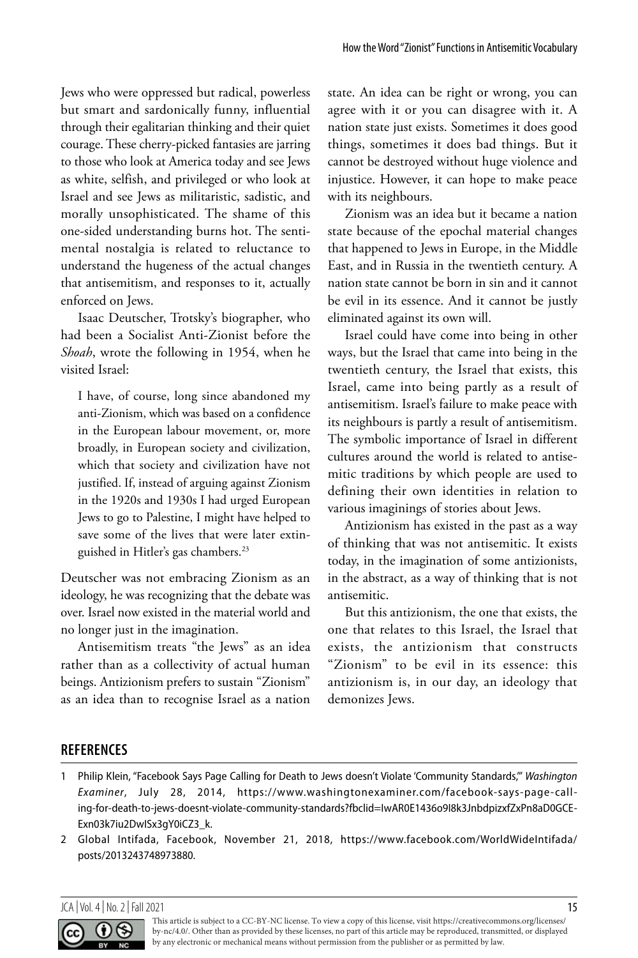Jews who were oppressed but radical, powerless but smart and sardonically funny, influential through their egalitarian thinking and their quiet courage. These cherry-picked fantasies are jarring to those who look at America today and see Jews as white, selfish, and privileged or who look at Israel and see Jews as militaristic, sadistic, and morally unsophisticated. The shame of this one-sided understanding burns hot. The sentimental nostalgia is related to reluctance to understand the hugeness of the actual changes that antisemitism, and responses to it, actually enforced on Jews.

Isaac Deutscher, Trotsky's biographer, who had been a Socialist Anti-Zionist before the *Shoah*, wrote the following in 1954, when he visited Israel:

I have, of course, long since abandoned my anti-Zionism, which was based on a confidence in the European labour movement, or, more broadly, in European society and civilization, which that society and civilization have not justified. If, instead of arguing against Zionism in the 1920s and 1930s I had urged European Jews to go to Palestine, I might have helped to save some of the lives that were later extinguished in Hitler's gas chambers.23

Deutscher was not embracing Zionism as an ideology, he was recognizing that the debate was over. Israel now existed in the material world and no longer just in the imagination.

Antisemitism treats "the Jews" as an idea rather than as a collectivity of actual human beings. Antizionism prefers to sustain "Zionism" as an idea than to recognise Israel as a nation

state. An idea can be right or wrong, you can agree with it or you can disagree with it. A nation state just exists. Sometimes it does good things, sometimes it does bad things. But it cannot be destroyed without huge violence and injustice. However, it can hope to make peace with its neighbours.

Zionism was an idea but it became a nation state because of the epochal material changes that happened to Jews in Europe, in the Middle East, and in Russia in the twentieth century. A nation state cannot be born in sin and it cannot be evil in its essence. And it cannot be justly eliminated against its own will.

Israel could have come into being in other ways, but the Israel that came into being in the twentieth century, the Israel that exists, this Israel, came into being partly as a result of antisemitism. Israel's failure to make peace with its neighbours is partly a result of antisemitism. The symbolic importance of Israel in different cultures around the world is related to antisemitic traditions by which people are used to defining their own identities in relation to various imaginings of stories about Jews.

Antizionism has existed in the past as a way of thinking that was not antisemitic. It exists today, in the imagination of some antizionists, in the abstract, as a way of thinking that is not antisemitic.

But this antizionism, the one that exists, the one that relates to this Israel, the Israel that exists, the antizionism that constructs "Zionism" to be evil in its essence: this antizionism is, in our day, an ideology that demonizes Jews.

### **REFERENCES**

#### JCA | Vol. 4 | No. 2 | Fall 2021 15



<sup>1</sup> Philip Klein, "Facebook Says Page Calling for Death to Jews doesn't Violate 'Community Standards,'" *Washington Examiner*, July 28, 2014, https://www.washingtonexaminer.com/facebook-says-page-calling-for-death-to-jews-doesnt-violate-community-standards?fbclid=IwAR0E1436o9I8k3JnbdpizxfZxPn8aD0GCE-Exn03k7iu2DwISx3gY0iCZ3\_k.

<sup>2</sup> Global Intifada, Facebook, November 21, 2018, https://www.facebook.com/WorldWideIntifada/ posts/2013243748973880.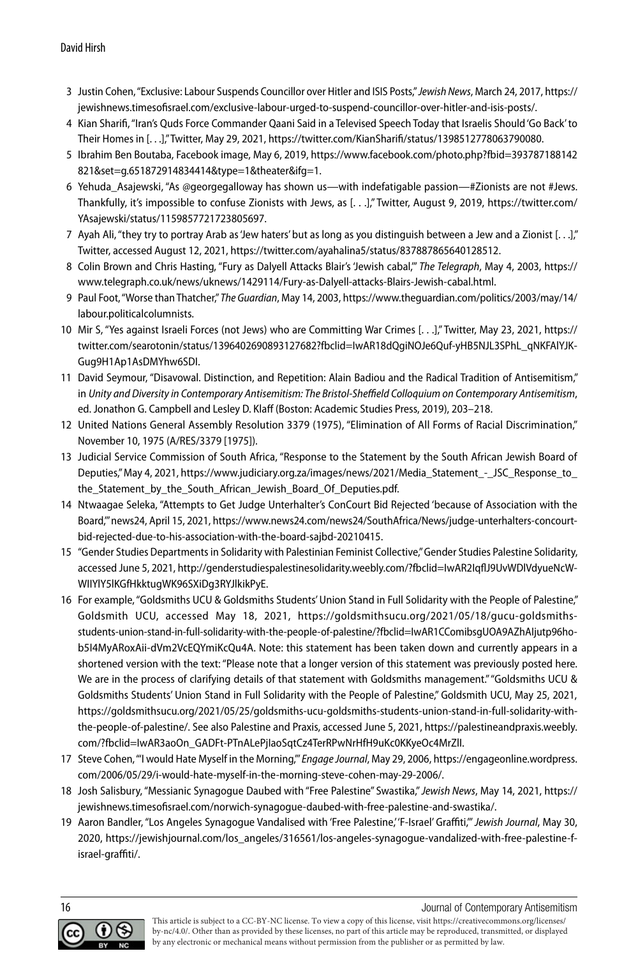- 3 Justin Cohen, "Exclusive: Labour Suspends Councillor over Hitler and ISIS Posts," *Jewish News*, March 24, 2017, https:// jewishnews.timesofisrael.com/exclusive-labour-urged-to-suspend-councillor-over-hitler-and-isis-posts/.
- 4 Kian Sharifi, "Iran's Quds Force Commander Qaani Said in a Televised Speech Today that Israelis Should 'Go Back' to Their Homes in [. . .]," Twitter, May 29, 2021, https://twitter.com/KianSharifi/status/1398512778063790080.
- 5 Ibrahim Ben Boutaba, Facebook image, May 6, 2019, https://www.facebook.com/photo.php?fbid=393787188142 821&set=g.651872914834414&type=1&theater&ifg=1.
- 6 Yehuda Asajewski, "As @georgegalloway has shown us—with indefatigable passion—#Zionists are not #Jews. Thankfully, it's impossible to confuse Zionists with Jews, as [. . .]," Twitter, August 9, 2019, https://twitter.com/ YAsajewski/status/1159857721723805697.
- 7 Ayah Ali, "they try to portray Arab as 'Jew haters' but as long as you distinguish between a Jew and a Zionist [. . .]," Twitter, accessed August 12, 2021, https://twitter.com/ayahalina5/status/837887865640128512.
- 8 Colin Brown and Chris Hasting, "Fury as Dalyell Attacks Blair's 'Jewish cabal,'" *The Telegraph*, May 4, 2003, https:// www.telegraph.co.uk/news/uknews/1429114/Fury-as-Dalyell-attacks-Blairs-Jewish-cabal.html.
- 9 Paul Foot, "Worse than Thatcher," *The Guardian*, May 14, 2003, https://www.theguardian.com/politics/2003/may/14/ labour.politicalcolumnists.
- 10 Mir S, "Yes against Israeli Forces (not Jews) who are Committing War Crimes [. . .]," Twitter, May 23, 2021, https:// twitter.com/searotonin/status/1396402690893127682?fbclid=IwAR18dQgiNOJe6Quf-yHB5NJL3SPhL\_qNKFAlYJK-Gug9H1Ap1AsDMYhw6SDI.
- 11 David Seymour, "Disavowal. Distinction, and Repetition: Alain Badiou and the Radical Tradition of Antisemitism," in *Unity and Diversity in Contemporary Antisemitism: The Bristol-Sheffield Colloquium on Contemporary Antisemitism*, ed. Jonathon G. Campbell and Lesley D. Klaff (Boston: Academic Studies Press, 2019), 203–218.
- 12 United Nations General Assembly Resolution 3379 (1975), "Elimination of All Forms of Racial Discrimination," November 10, 1975 (A/RES/3379 [1975]).
- 13 Judicial Service Commission of South Africa, "Response to the Statement by the South African Jewish Board of Deputies," May 4, 2021, https://www.judiciary.org.za/images/news/2021/Media\_Statement\_-\_JSC\_Response\_to the Statement by the South African Jewish Board Of Deputies.pdf.
- 14 Ntwaagae Seleka, "Attempts to Get Judge Unterhalter's ConCourt Bid Rejected 'because of Association with the Board,'" news24, April 15, 2021, https://www.news24.com/news24/SouthAfrica/News/judge-unterhalters-concourtbid-rejected-due-to-his-association-with-the-board-sajbd-20210415.
- 15 "Gender Studies Departments in Solidarity with Palestinian Feminist Collective," Gender Studies Palestine Solidarity, accessed June 5, 2021, http://genderstudiespalestinesolidarity.weebly.com/?fbclid=IwAR2IqflJ9UvWDlVdyueNcW-WIIYlY5lKGfHkktugWK96SXiDg3RYJlkikPyE.
- 16 For example, "Goldsmiths UCU & Goldsmiths Students' Union Stand in Full Solidarity with the People of Palestine," Goldsmith UCU, accessed May 18, 2021, https://goldsmithsucu.org/2021/05/18/gucu-goldsmithsstudents-union-stand-in-full-solidarity-with-the-people-of-palestine/?fbclid=IwAR1CComibsgUOA9AZhAIjutp96hob5I4MyARoxAii-dVm2VcEQYmiKcQu4A. Note: this statement has been taken down and currently appears in a shortened version with the text: "Please note that a longer version of this statement was previously posted here. We are in the process of clarifying details of that statement with Goldsmiths management." "Goldsmiths UCU & Goldsmiths Students' Union Stand in Full Solidarity with the People of Palestine," Goldsmith UCU, May 25, 2021, https://goldsmithsucu.org/2021/05/25/goldsmiths-ucu-goldsmiths-students-union-stand-in-full-solidarity-withthe-people-of-palestine/. See also Palestine and Praxis, accessed June 5, 2021, https://palestineandpraxis.weebly. com/?fbclid=IwAR3aoOn\_GADFt-PTnALePjIaoSqtCz4TerRPwNrHfH9uKc0KKyeOc4MrZlI.
- 17 Steve Cohen, "'I would Hate Myself in the Morning,"' *Engage Journal*, May 29, 2006, https://engageonline.wordpress. com/2006/05/29/i-would-hate-myself-in-the-morning-steve-cohen-may-29-2006/.
- 18 Josh Salisbury, "Messianic Synagogue Daubed with "Free Palestine" Swastika," *Jewish News*, May 14, 2021, https:// jewishnews.timesofisrael.com/norwich-synagogue-daubed-with-free-palestine-and-swastika/.
- 19 Aaron Bandler, "Los Angeles Synagogue Vandalised with 'Free Palestine,' 'F-Israel' Graffiti,'" *Jewish Journal*, May 30, 2020, https://jewishjournal.com/los\_angeles/316561/los-angeles-synagogue-vandalized-with-free-palestine-fisrael-graffiti/.



16 Journal of Contemporary Antisemitism